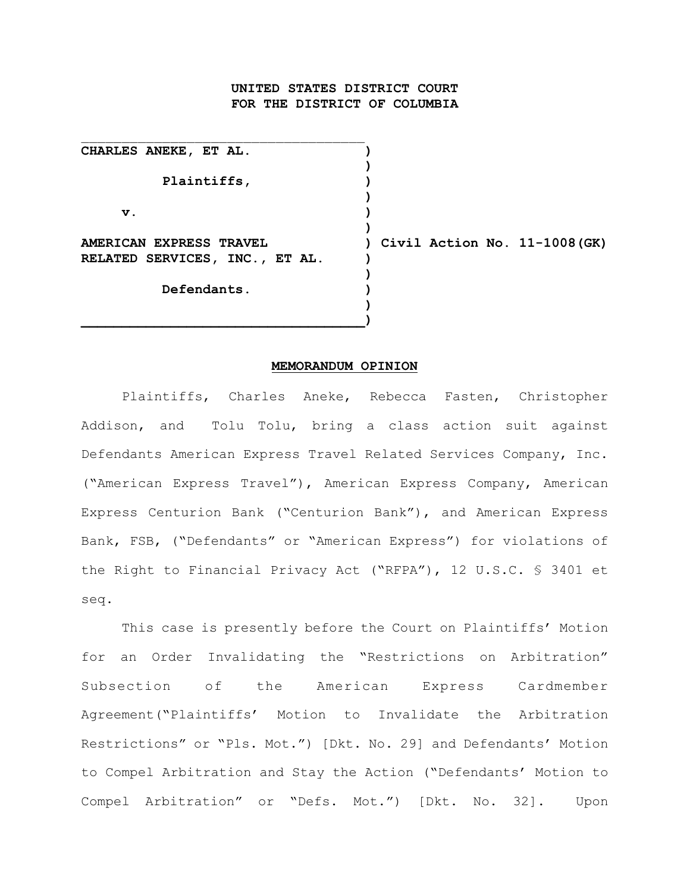# **UNITED STATES DISTRICT COURT FOR THE DISTRICT OF COLUMBIA**

**)**

**)**

**)**

**)**

**)**

**CHARLES ANEKE, ET AL. ) Plaintiffs, ) v. ) AMERICAN EXPRESS TRAVEL ) Civil Action No. 11-1008(GK) RELATED SERVICES, INC., ET AL. ) Defendants. )**

**\_\_\_\_\_\_\_\_\_\_\_\_\_\_\_\_\_\_\_\_\_\_\_\_\_\_\_\_\_\_\_\_\_\_\_)**

 $\mathcal{L}_\text{max}$ 

#### **MEMORANDUM OPINION**

Plaintiffs, Charles Aneke, Rebecca Fasten, Christopher Addison, and Tolu Tolu, bring a class action suit against Defendants American Express Travel Related Services Company, Inc. ("American Express Travel"), American Express Company, American Express Centurion Bank ("Centurion Bank"), and American Express Bank, FSB, ("Defendants" or "American Express") for violations of the Right to Financial Privacy Act ("RFPA"), 12 U.S.C. § 3401 et seq.

This case is presently before the Court on Plaintiffs' Motion for an Order Invalidating the "Restrictions on Arbitration" Subsection of the American Express Cardmember Agreement("Plaintiffs' Motion to Invalidate the Arbitration Restrictions" or "Pls. Mot.") [Dkt. No. 29] and Defendants' Motion to Compel Arbitration and Stay the Action ("Defendants' Motion to Compel Arbitration" or "Defs. Mot.") [Dkt. No. 32]. Upon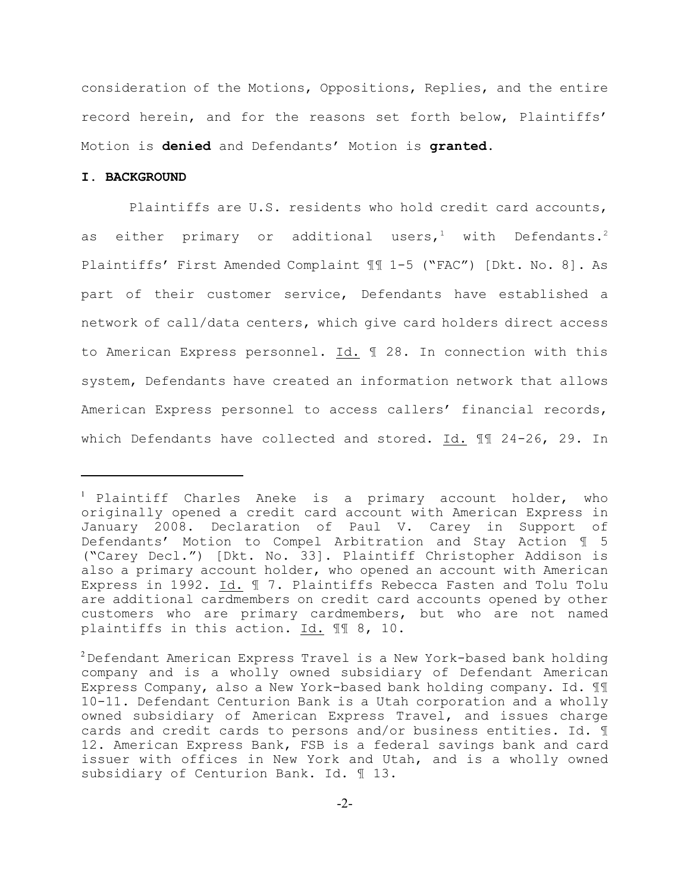consideration of the Motions, Oppositions, Replies, and the entire record herein, and for the reasons set forth below, Plaintiffs' Motion is **denied** and Defendants' Motion is **granted**.

### **I. BACKGROUND**

Plaintiffs are U.S. residents who hold credit card accounts, as either primary or additional users,<sup>1</sup> with Defendants.<sup>2</sup> Plaintiffs' First Amended Complaint ¶¶ 1-5 ("FAC") [Dkt. No. 8]. As part of their customer service, Defendants have established a network of call/data centers, which give card holders direct access to American Express personnel. Id. ¶ 28. In connection with this system, Defendants have created an information network that allows American Express personnel to access callers' financial records, which Defendants have collected and stored. Id. ¶¶ 24-26, 29. In

 $^1$  Plaintiff Charles Aneke is a primary account holder, who originally opened a credit card account with American Express in January 2008. Declaration of Paul V. Carey in Support of Defendants' Motion to Compel Arbitration and Stay Action ¶ 5 ("Carey Decl.") [Dkt. No. 33]. Plaintiff Christopher Addison is also a primary account holder, who opened an account with American Express in 1992. Id. ¶ 7. Plaintiffs Rebecca Fasten and Tolu Tolu are additional cardmembers on credit card accounts opened by other customers who are primary cardmembers, but who are not named plaintiffs in this action. Id. ¶¶ 8, 10.

 $2$  Defendant American Express Travel is a New York-based bank holding company and is a wholly owned subsidiary of Defendant American Express Company, also a New York-based bank holding company. Id. ¶¶ 10-11. Defendant Centurion Bank is a Utah corporation and a wholly owned subsidiary of American Express Travel, and issues charge cards and credit cards to persons and/or business entities. Id. ¶ 12. American Express Bank, FSB is a federal savings bank and card issuer with offices in New York and Utah, and is a wholly owned subsidiary of Centurion Bank. Id. ¶ 13.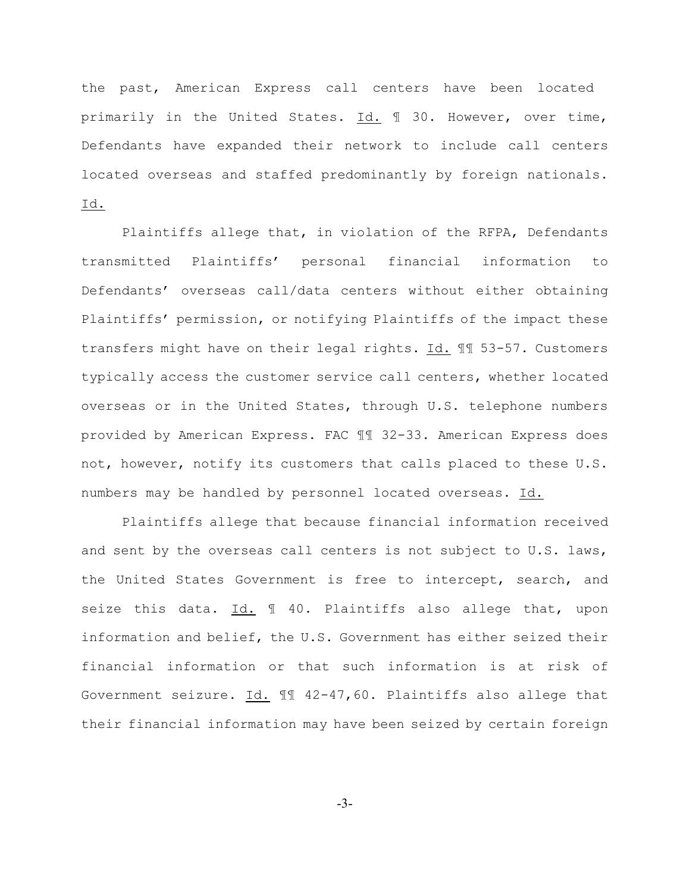the past, American Express call centers have been located primarily in the United States. Id. ¶ 30. However, over time, Defendants have expanded their network to include call centers located overseas and staffed predominantly by foreign nationals. Id.

Plaintiffs allege that, in violation of the RFPA, Defendants transmitted Plaintiffs' personal financial information to Defendants' overseas call/data centers without either obtaining Plaintiffs' permission, or notifying Plaintiffs of the impact these transfers might have on their legal rights. Id. ¶¶ 53-57. Customers typically access the customer service call centers, whether located overseas or in the United States, through U.S. telephone numbers provided by American Express. FAC ¶¶ 32-33. American Express does not, however, notify its customers that calls placed to these U.S. numbers may be handled by personnel located overseas. Id.

Plaintiffs allege that because financial information received and sent by the overseas call centers is not subject to U.S. laws, the United States Government is free to intercept, search, and seize this data. Id. ¶ 40. Plaintiffs also allege that, upon information and belief, the U.S. Government has either seized their financial information or that such information is at risk of Government seizure. Id. ¶¶ 42-47,60. Plaintiffs also allege that their financial information may have been seized by certain foreign

-3-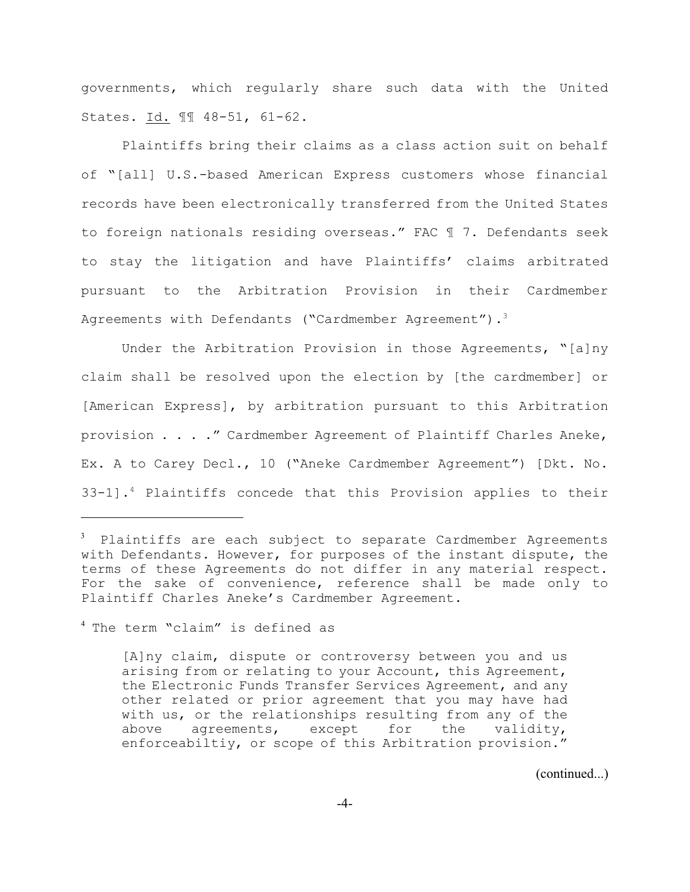governments, which regularly share such data with the United States. Id. ¶¶ 48-51, 61-62.

Plaintiffs bring their claims as a class action suit on behalf of "[all] U.S.-based American Express customers whose financial records have been electronically transferred from the United States to foreign nationals residing overseas." FAC ¶ 7. Defendants seek to stay the litigation and have Plaintiffs' claims arbitrated pursuant to the Arbitration Provision in their Cardmember Agreements with Defendants ("Cardmember Agreement").<sup>3</sup>

Under the Arbitration Provision in those Agreements, "[a]ny claim shall be resolved upon the election by [the cardmember] or [American Express], by arbitration pursuant to this Arbitration provision . . . ." Cardmember Agreement of Plaintiff Charles Aneke, Ex. A to Carey Decl., 10 ("Aneke Cardmember Agreement") [Dkt. No. 33-1].<sup>4</sup> Plaintiffs concede that this Provision applies to their

(continued...)

 $3$  Plaintiffs are each subject to separate Cardmember Agreements with Defendants. However, for purposes of the instant dispute, the terms of these Agreements do not differ in any material respect. For the sake of convenience, reference shall be made only to Plaintiff Charles Aneke's Cardmember Agreement.

 $4$  The term "claim" is defined as

<sup>[</sup>A]ny claim, dispute or controversy between you and us arising from or relating to your Account, this Agreement, the Electronic Funds Transfer Services Agreement, and any other related or prior agreement that you may have had with us, or the relationships resulting from any of the above agreements, except for the validity, enforceabiltiy, or scope of this Arbitration provision."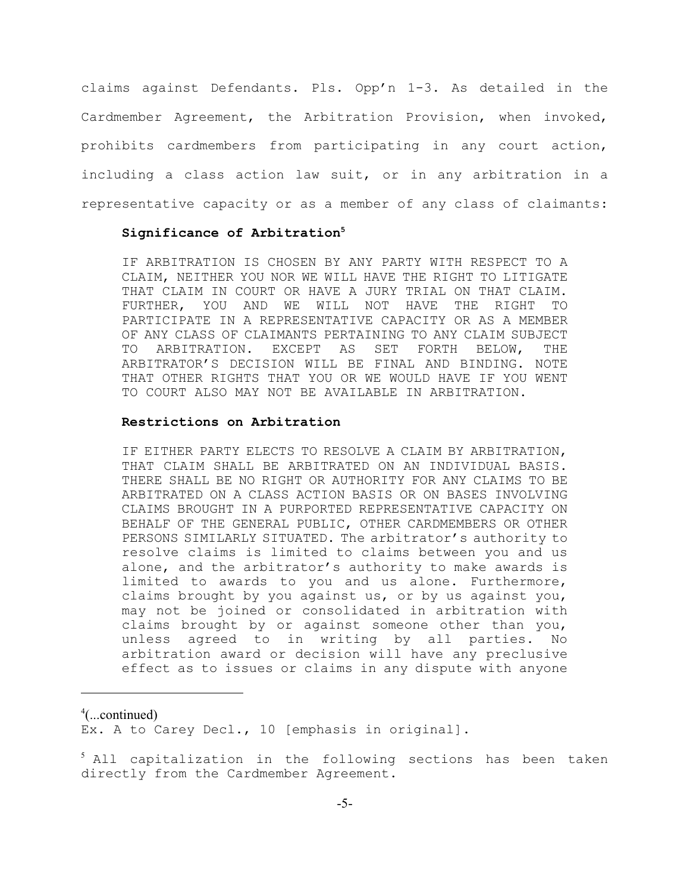claims against Defendants. Pls. Opp'n 1-3. As detailed in the Cardmember Agreement, the Arbitration Provision, when invoked, prohibits cardmembers from participating in any court action, including a class action law suit, or in any arbitration in a representative capacity or as a member of any class of claimants:

#### **Significance of Arbitration<sup>5</sup>**

IF ARBITRATION IS CHOSEN BY ANY PARTY WITH RESPECT TO A CLAIM, NEITHER YOU NOR WE WILL HAVE THE RIGHT TO LITIGATE THAT CLAIM IN COURT OR HAVE A JURY TRIAL ON THAT CLAIM. FURTHER, YOU AND WE WILL NOT HAVE THE RIGHT TO PARTICIPATE IN A REPRESENTATIVE CAPACITY OR AS A MEMBER OF ANY CLASS OF CLAIMANTS PERTAINING TO ANY CLAIM SUBJECT TO ARBITRATION. EXCEPT AS SET FORTH BELOW, THE ARBITRATOR'S DECISION WILL BE FINAL AND BINDING. NOTE THAT OTHER RIGHTS THAT YOU OR WE WOULD HAVE IF YOU WENT TO COURT ALSO MAY NOT BE AVAILABLE IN ARBITRATION.

# **Restrictions on Arbitration**

IF EITHER PARTY ELECTS TO RESOLVE A CLAIM BY ARBITRATION, THAT CLAIM SHALL BE ARBITRATED ON AN INDIVIDUAL BASIS. THERE SHALL BE NO RIGHT OR AUTHORITY FOR ANY CLAIMS TO BE ARBITRATED ON A CLASS ACTION BASIS OR ON BASES INVOLVING CLAIMS BROUGHT IN A PURPORTED REPRESENTATIVE CAPACITY ON BEHALF OF THE GENERAL PUBLIC, OTHER CARDMEMBERS OR OTHER PERSONS SIMILARLY SITUATED. The arbitrator's authority to resolve claims is limited to claims between you and us alone, and the arbitrator's authority to make awards is limited to awards to you and us alone. Furthermore, claims brought by you against us, or by us against you, may not be joined or consolidated in arbitration with claims brought by or against someone other than you, unless agreed to in writing by all parties. No arbitration award or decision will have any preclusive effect as to issues or claims in any dispute with anyone

 $^4$ (...continued)

Ex. A to Carey Decl., 10 [emphasis in original].

 $5$  All capitalization in the following sections has been taken directly from the Cardmember Agreement.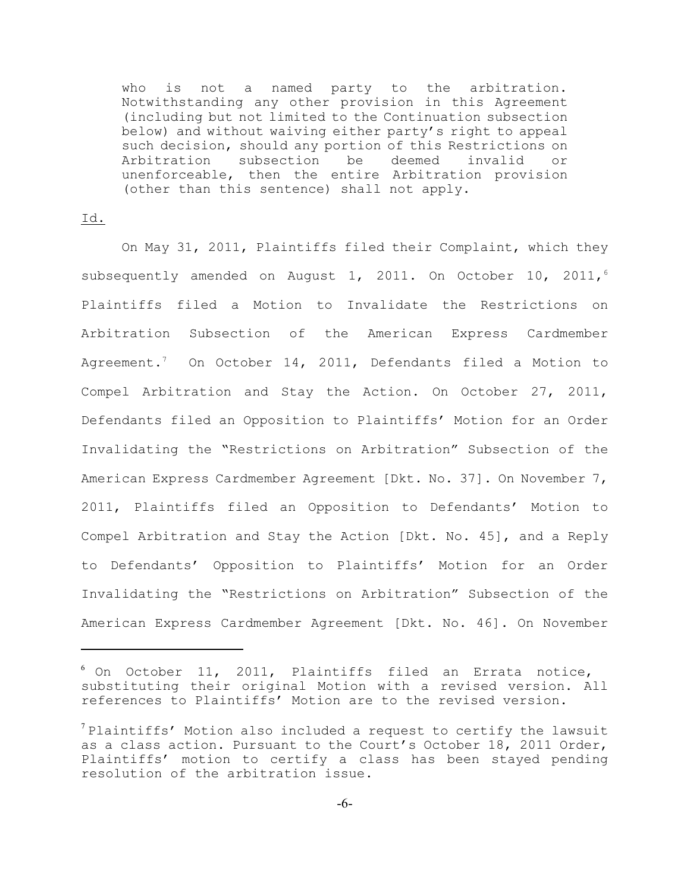who is not a named party to the arbitration. Notwithstanding any other provision in this Agreement (including but not limited to the Continuation subsection below) and without waiving either party's right to appeal such decision, should any portion of this Restrictions on Arbitration subsection be deemed invalid or unenforceable, then the entire Arbitration provision (other than this sentence) shall not apply.

## Id.

On May 31, 2011, Plaintiffs filed their Complaint, which they subsequently amended on August 1, 2011. On October 10, 2011,<sup>6</sup> Plaintiffs filed a Motion to Invalidate the Restrictions on Arbitration Subsection of the American Express Cardmember Agreement.<sup>7</sup> On October 14, 2011, Defendants filed a Motion to Compel Arbitration and Stay the Action. On October 27, 2011, Defendants filed an Opposition to Plaintiffs' Motion for an Order Invalidating the "Restrictions on Arbitration" Subsection of the American Express Cardmember Agreement [Dkt. No. 37]. On November 7, 2011, Plaintiffs filed an Opposition to Defendants' Motion to Compel Arbitration and Stay the Action [Dkt. No. 45], and a Reply to Defendants' Opposition to Plaintiffs' Motion for an Order Invalidating the "Restrictions on Arbitration" Subsection of the American Express Cardmember Agreement [Dkt. No. 46]. On November

 $^6$  On October 11, 2011, Plaintiffs filed an Errata notice, substituting their original Motion with a revised version. All references to Plaintiffs' Motion are to the revised version.

 $\alpha$ <sup>7</sup> Plaintiffs' Motion also included a request to certify the lawsuit as a class action. Pursuant to the Court's October 18, 2011 Order, Plaintiffs' motion to certify a class has been stayed pending resolution of the arbitration issue.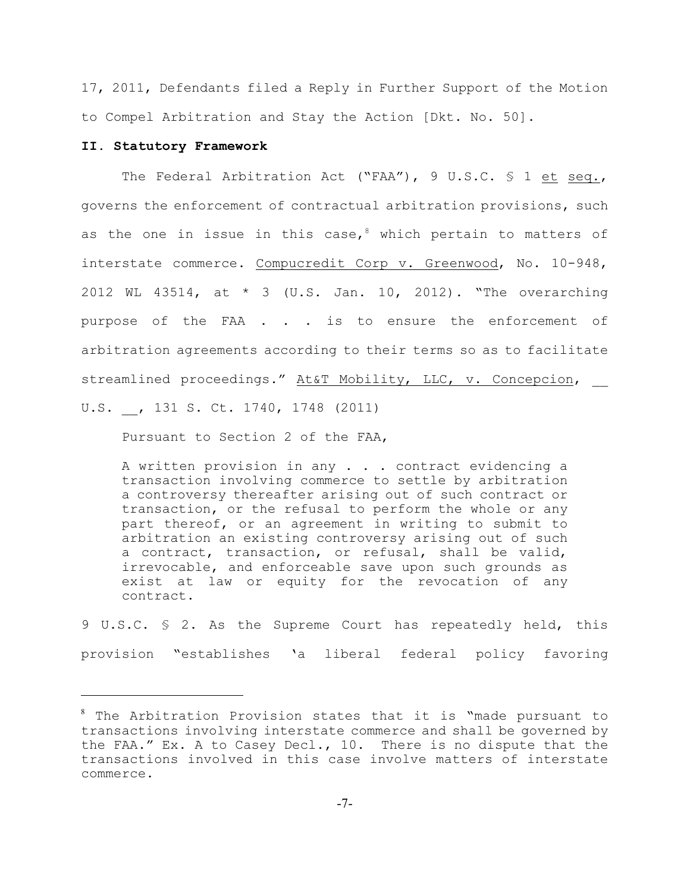17, 2011, Defendants filed a Reply in Further Support of the Motion to Compel Arbitration and Stay the Action [Dkt. No. 50].

### **II. Statutory Framework**

The Federal Arbitration Act ("FAA"), 9 U.S.C. § 1 et seq., governs the enforcement of contractual arbitration provisions, such as the one in issue in this case,  $8$  which pertain to matters of interstate commerce. Compucredit Corp v. Greenwood, No. 10-948, 2012 WL 43514, at \* 3 (U.S. Jan. 10, 2012). "The overarching purpose of the FAA . . . is to ensure the enforcement of arbitration agreements according to their terms so as to facilitate streamlined proceedings." At&T Mobility, LLC, v. Concepcion, U.S. \_\_, 131 S. Ct. 1740, 1748 (2011)

Pursuant to Section 2 of the FAA,

A written provision in any . . . contract evidencing a transaction involving commerce to settle by arbitration a controversy thereafter arising out of such contract or transaction, or the refusal to perform the whole or any part thereof, or an agreement in writing to submit to arbitration an existing controversy arising out of such a contract, transaction, or refusal, shall be valid, irrevocable, and enforceable save upon such grounds as exist at law or equity for the revocation of any contract.

9 U.S.C. § 2. As the Supreme Court has repeatedly held, this provision "establishes 'a liberal federal policy favoring

 $^8$  The Arbitration Provision states that it is "made pursuant to transactions involving interstate commerce and shall be governed by the FAA." Ex. A to Casey Decl., 10. There is no dispute that the transactions involved in this case involve matters of interstate commerce.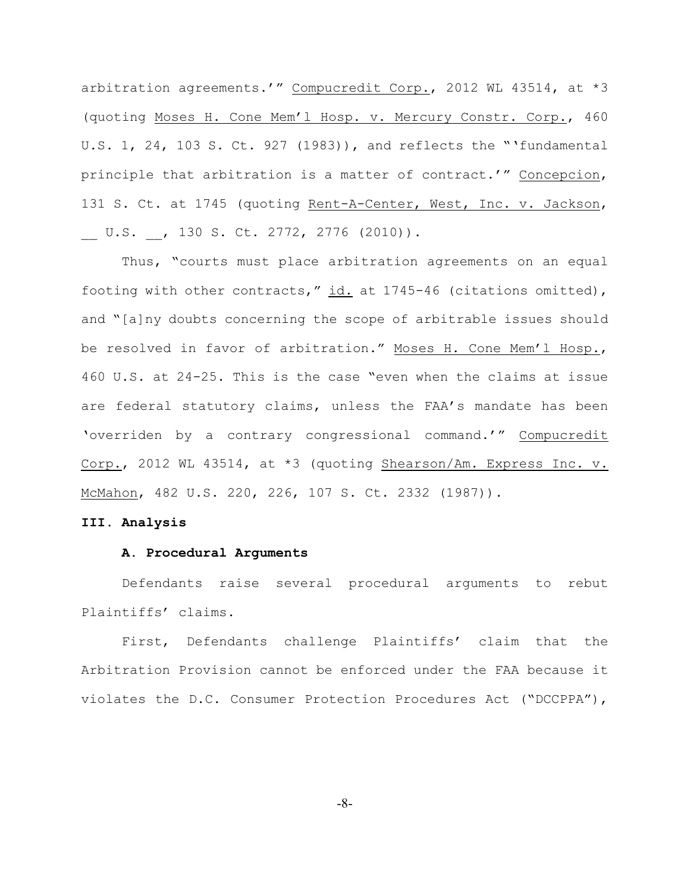arbitration agreements.'" Compucredit Corp., 2012 WL 43514, at \*3 (quoting Moses H. Cone Mem'l Hosp. v. Mercury Constr. Corp., 460 U.S. 1, 24, 103 S. Ct. 927 (1983)), and reflects the "'fundamental principle that arbitration is a matter of contract.'" Concepcion, 131 S. Ct. at 1745 (quoting Rent-A-Center, West, Inc. v. Jackson, U.S. , 130 S. Ct. 2772, 2776 (2010)).

Thus, "courts must place arbitration agreements on an equal footing with other contracts," id. at 1745-46 (citations omitted), and "[a]ny doubts concerning the scope of arbitrable issues should be resolved in favor of arbitration." Moses H. Cone Mem'l Hosp., 460 U.S. at 24-25. This is the case "even when the claims at issue are federal statutory claims, unless the FAA's mandate has been 'overriden by a contrary congressional command.'" Compucredit Corp., 2012 WL 43514, at \*3 (quoting Shearson/Am. Express Inc. v. McMahon, 482 U.S. 220, 226, 107 S. Ct. 2332 (1987)).

#### **III. Analysis**

#### **A. Procedural Arguments**

Defendants raise several procedural arguments to rebut Plaintiffs' claims.

First, Defendants challenge Plaintiffs' claim that the Arbitration Provision cannot be enforced under the FAA because it violates the D.C. Consumer Protection Procedures Act ("DCCPPA"),

-8-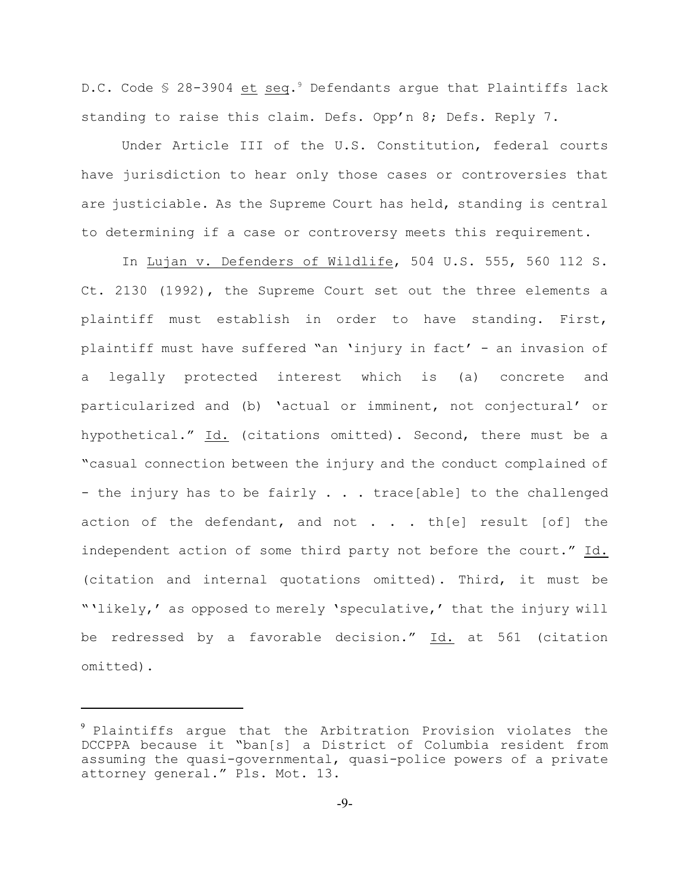D.C. Code  $\frac{1}{2}$  28-3904 et seq.<sup>9</sup> Defendants argue that Plaintiffs lack standing to raise this claim. Defs. Opp'n 8; Defs. Reply 7.

Under Article III of the U.S. Constitution, federal courts have jurisdiction to hear only those cases or controversies that are justiciable. As the Supreme Court has held, standing is central to determining if a case or controversy meets this requirement.

In Lujan v. Defenders of Wildlife, 504 U.S. 555, 560 112 S. Ct. 2130 (1992), the Supreme Court set out the three elements a plaintiff must establish in order to have standing. First, plaintiff must have suffered "an 'injury in fact' - an invasion of a legally protected interest which is (a) concrete and particularized and (b) 'actual or imminent, not conjectural' or hypothetical." Id. (citations omitted). Second, there must be a "casual connection between the injury and the conduct complained of - the injury has to be fairly  $\ldots$  trace[able] to the challenged action of the defendant, and not  $\cdot \cdot \cdot$  th[e] result [of] the independent action of some third party not before the court." Id. (citation and internal quotations omitted). Third, it must be "'likely,' as opposed to merely 'speculative,' that the injury will be redressed by a favorable decision." Id. at 561 (citation omitted).

 $9$  Plaintiffs arque that the Arbitration Provision violates the DCCPPA because it "ban[s] a District of Columbia resident from assuming the quasi-governmental, quasi-police powers of a private attorney general." Pls. Mot. 13.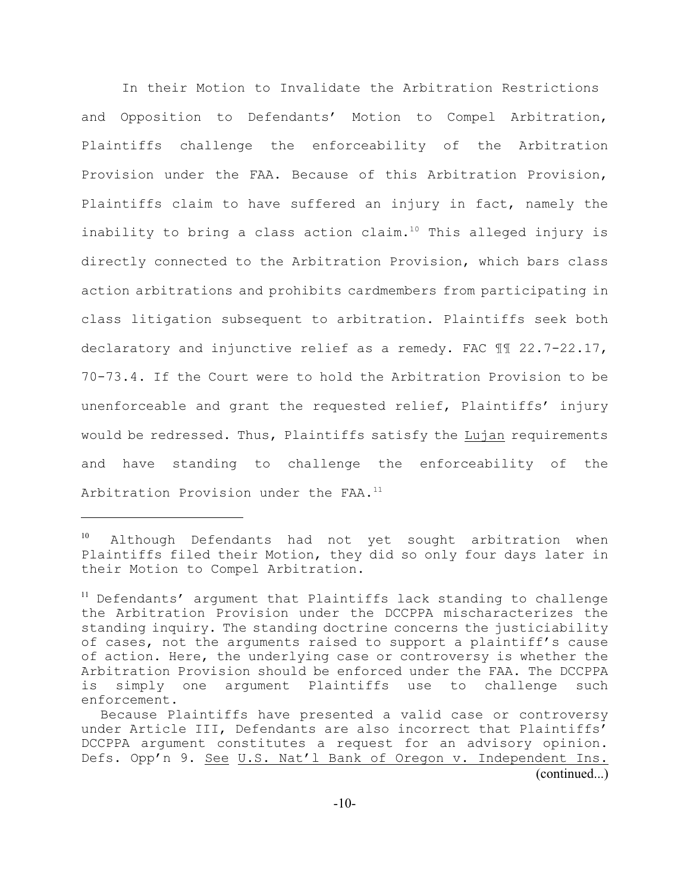In their Motion to Invalidate the Arbitration Restrictions and Opposition to Defendants' Motion to Compel Arbitration, Plaintiffs challenge the enforceability of the Arbitration Provision under the FAA. Because of this Arbitration Provision, Plaintiffs claim to have suffered an injury in fact, namely the inability to bring a class action claim.<sup>10</sup> This alleged injury is directly connected to the Arbitration Provision, which bars class action arbitrations and prohibits cardmembers from participating in class litigation subsequent to arbitration. Plaintiffs seek both declaratory and injunctive relief as a remedy. FAC ¶¶ 22.7-22.17, 70-73.4. If the Court were to hold the Arbitration Provision to be unenforceable and grant the requested relief, Plaintiffs' injury would be redressed. Thus, Plaintiffs satisfy the Lujan requirements and have standing to challenge the enforceability of the Arbitration Provision under the FAA.<sup>11</sup>

 $10$  Although Defendants had not yet sought arbitration when Plaintiffs filed their Motion, they did so only four days later in their Motion to Compel Arbitration.

<sup>&</sup>lt;sup>11</sup> Defendants' argument that Plaintiffs lack standing to challenge the Arbitration Provision under the DCCPPA mischaracterizes the standing inquiry. The standing doctrine concerns the justiciability of cases, not the arguments raised to support a plaintiff's cause of action. Here, the underlying case or controversy is whether the Arbitration Provision should be enforced under the FAA. The DCCPPA is simply one argument Plaintiffs use to challenge such enforcement.

Because Plaintiffs have presented a valid case or controversy under Article III, Defendants are also incorrect that Plaintiffs' DCCPPA argument constitutes a request for an advisory opinion. Defs. Opp'n 9. See U.S. Nat'l Bank of Oregon v. Independent Ins.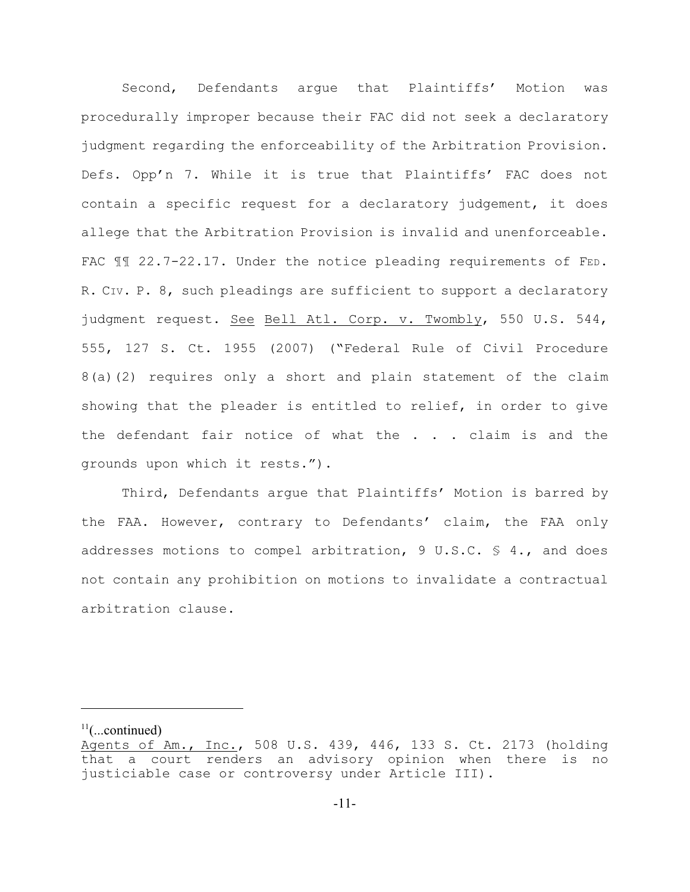Second, Defendants argue that Plaintiffs' Motion was procedurally improper because their FAC did not seek a declaratory judgment regarding the enforceability of the Arbitration Provision. Defs. Opp'n 7. While it is true that Plaintiffs' FAC does not contain a specific request for a declaratory judgement, it does allege that the Arbitration Provision is invalid and unenforceable. FAC  $\llbracket$  22.7-22.17. Under the notice pleading requirements of FED. R. CIV. P. 8, such pleadings are sufficient to support a declaratory judgment request. See Bell Atl. Corp. v. Twombly, 550 U.S. 544, 555, 127 S. Ct. 1955 (2007) ("Federal Rule of Civil Procedure 8(a)(2) requires only a short and plain statement of the claim showing that the pleader is entitled to relief, in order to give the defendant fair notice of what the . . . claim is and the grounds upon which it rests.").

Third, Defendants argue that Plaintiffs' Motion is barred by the FAA. However, contrary to Defendants' claim, the FAA only addresses motions to compel arbitration, 9 U.S.C. § 4., and does not contain any prohibition on motions to invalidate a contractual arbitration clause.

 $11$ (...continued)

Agents of Am., Inc., 508 U.S. 439, 446, 133 S. Ct. 2173 (holding that a court renders an advisory opinion when there is no justiciable case or controversy under Article III).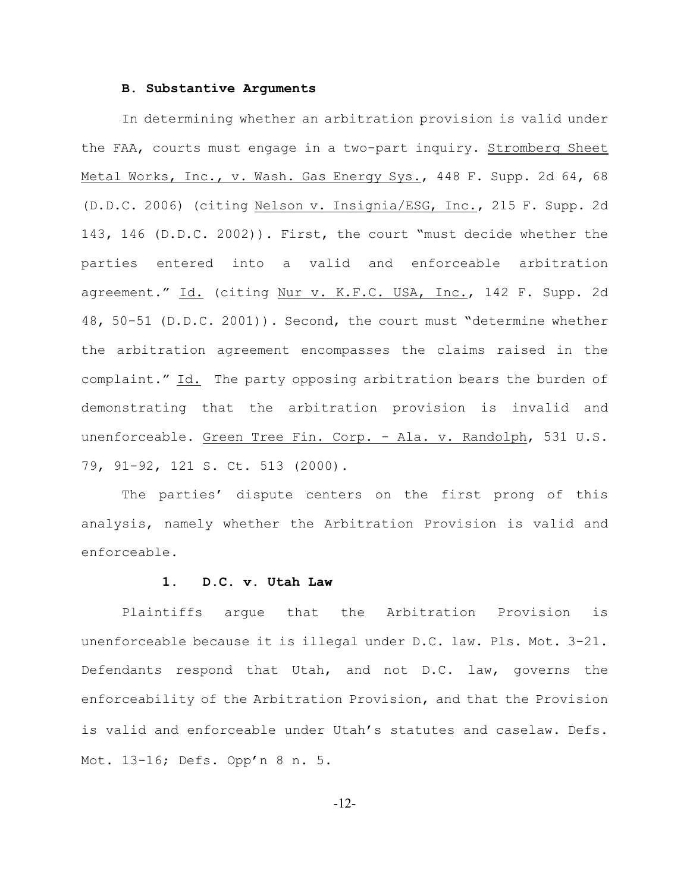#### **B. Substantive Arguments**

In determining whether an arbitration provision is valid under the FAA, courts must engage in a two-part inquiry. Stromberg Sheet Metal Works, Inc., v. Wash. Gas Energy Sys., 448 F. Supp. 2d 64, 68 (D.D.C. 2006) (citing Nelson v. Insignia/ESG, Inc., 215 F. Supp. 2d 143, 146 (D.D.C. 2002)). First, the court "must decide whether the parties entered into a valid and enforceable arbitration agreement." Id. (citing Nur v. K.F.C. USA, Inc., 142 F. Supp. 2d 48, 50-51 (D.D.C. 2001)). Second, the court must "determine whether the arbitration agreement encompasses the claims raised in the complaint." Id. The party opposing arbitration bears the burden of demonstrating that the arbitration provision is invalid and unenforceable. Green Tree Fin. Corp. - Ala. v. Randolph, 531 U.S. 79, 91-92, 121 S. Ct. 513 (2000).

The parties' dispute centers on the first prong of this analysis, namely whether the Arbitration Provision is valid and enforceable.

### **1. D.C. v. Utah Law**

Plaintiffs argue that the Arbitration Provision is unenforceable because it is illegal under D.C. law. Pls. Mot. 3-21. Defendants respond that Utah, and not D.C. law, governs the enforceability of the Arbitration Provision, and that the Provision is valid and enforceable under Utah's statutes and caselaw. Defs. Mot. 13-16; Defs. Opp'n 8 n. 5.

-12-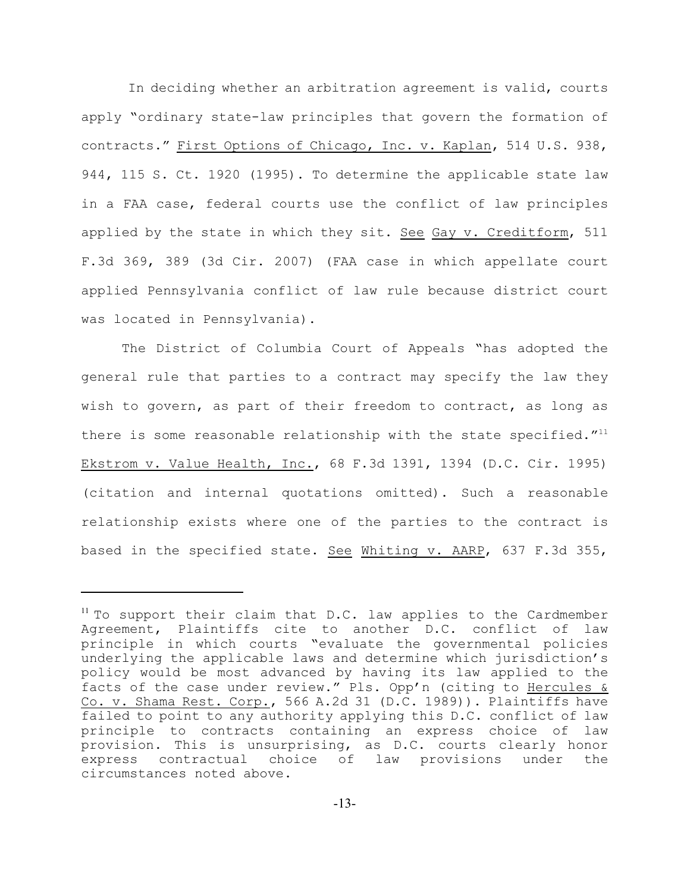In deciding whether an arbitration agreement is valid, courts apply "ordinary state-law principles that govern the formation of contracts." First Options of Chicago, Inc. v. Kaplan, 514 U.S. 938, 944, 115 S. Ct. 1920 (1995). To determine the applicable state law in a FAA case, federal courts use the conflict of law principles applied by the state in which they sit. See Gay v. Creditform, 511 F.3d 369, 389 (3d Cir. 2007) (FAA case in which appellate court applied Pennsylvania conflict of law rule because district court was located in Pennsylvania).

The District of Columbia Court of Appeals "has adopted the general rule that parties to a contract may specify the law they wish to govern, as part of their freedom to contract, as long as there is some reasonable relationship with the state specified."<sup>11</sup> Ekstrom v. Value Health, Inc., 68 F.3d 1391, 1394 (D.C. Cir. 1995) (citation and internal quotations omitted). Such a reasonable relationship exists where one of the parties to the contract is based in the specified state. See Whiting v. AARP, 637 F.3d 355,

 $11$  To support their claim that D.C. law applies to the Cardmember Agreement, Plaintiffs cite to another D.C. conflict of law principle in which courts "evaluate the governmental policies underlying the applicable laws and determine which jurisdiction's policy would be most advanced by having its law applied to the facts of the case under review." Pls. Opp'n (citing to Hercules & Co. v. Shama Rest. Corp., 566 A.2d 31 (D.C. 1989)). Plaintiffs have failed to point to any authority applying this D.C. conflict of law principle to contracts containing an express choice of law provision. This is unsurprising, as D.C. courts clearly honor express contractual choice of law provisions under the circumstances noted above.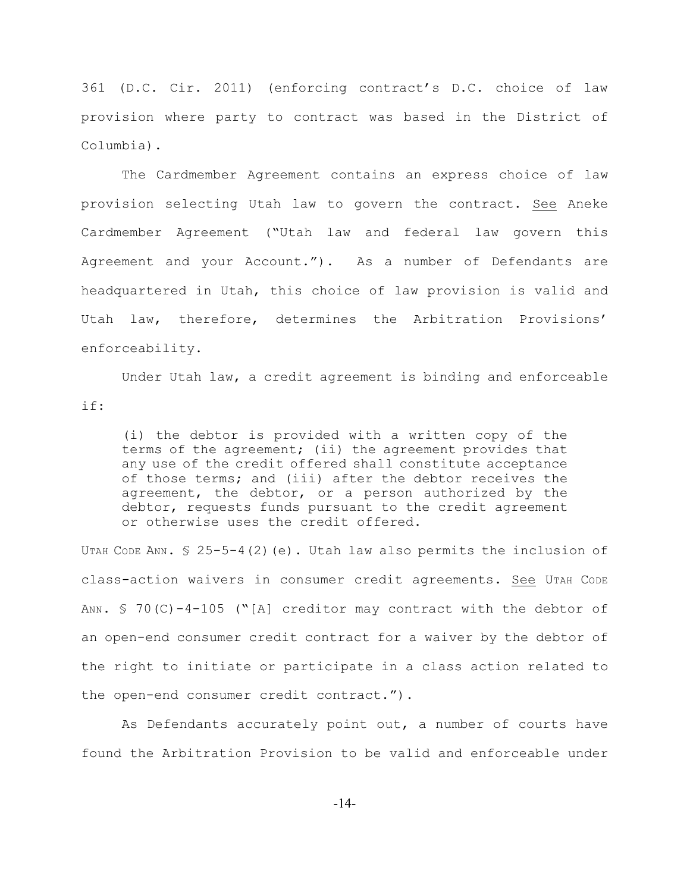361 (D.C. Cir. 2011) (enforcing contract's D.C. choice of law provision where party to contract was based in the District of Columbia).

The Cardmember Agreement contains an express choice of law provision selecting Utah law to govern the contract. See Aneke Cardmember Agreement ("Utah law and federal law govern this Agreement and your Account."). As a number of Defendants are headquartered in Utah, this choice of law provision is valid and Utah law, therefore, determines the Arbitration Provisions' enforceability.

Under Utah law, a credit agreement is binding and enforceable if:

(i) the debtor is provided with a written copy of the terms of the agreement; (ii) the agreement provides that any use of the credit offered shall constitute acceptance of those terms; and (iii) after the debtor receives the agreement, the debtor, or a person authorized by the debtor, requests funds pursuant to the credit agreement or otherwise uses the credit offered.

UTAH CODE ANN. § 25-5-4(2)(e). Utah law also permits the inclusion of class-action waivers in consumer credit agreements. See UTAH CODE ANN.  $\text{\$}$  70(C)-4-105 ("[A] creditor may contract with the debtor of an open-end consumer credit contract for a waiver by the debtor of the right to initiate or participate in a class action related to the open-end consumer credit contract.").

As Defendants accurately point out, a number of courts have found the Arbitration Provision to be valid and enforceable under

-14-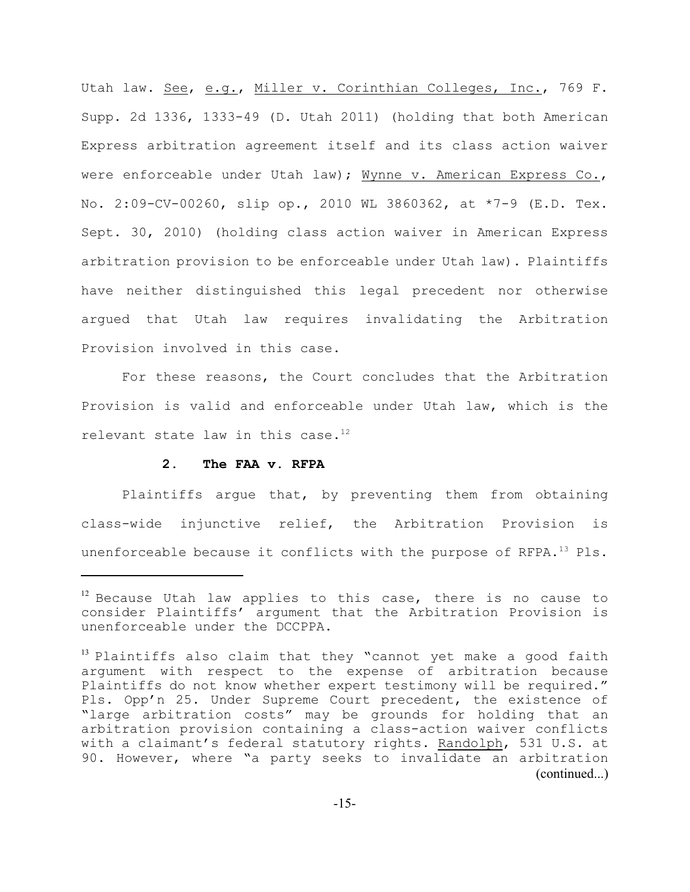Utah law. See, e.g., Miller v. Corinthian Colleges, Inc., 769 F. Supp. 2d 1336, 1333-49 (D. Utah 2011) (holding that both American Express arbitration agreement itself and its class action waiver were enforceable under Utah law); Wynne v. American Express Co., No. 2:09-CV-00260, slip op., 2010 WL 3860362, at \*7-9 (E.D. Tex. Sept. 30, 2010) (holding class action waiver in American Express arbitration provision to be enforceable under Utah law). Plaintiffs have neither distinguished this legal precedent nor otherwise argued that Utah law requires invalidating the Arbitration Provision involved in this case.

For these reasons, the Court concludes that the Arbitration Provision is valid and enforceable under Utah law, which is the relevant state law in this case.<sup>12</sup>

## **2. The FAA v. RFPA**

Plaintiffs argue that, by preventing them from obtaining class-wide injunctive relief, the Arbitration Provision is unenforceable because it conflicts with the purpose of RFPA.<sup>13</sup> Pls.

 $12$  Because Utah law applies to this case, there is no cause to consider Plaintiffs' argument that the Arbitration Provision is unenforceable under the DCCPPA.

 $13$  Plaintiffs also claim that they "cannot yet make a good faith argument with respect to the expense of arbitration because Plaintiffs do not know whether expert testimony will be required." Pls. Opp'n 25. Under Supreme Court precedent, the existence of "large arbitration costs" may be grounds for holding that an arbitration provision containing a class-action waiver conflicts with a claimant's federal statutory rights. Randolph, 531 U.S. at 90. However, where "a party seeks to invalidate an arbitration (continued...)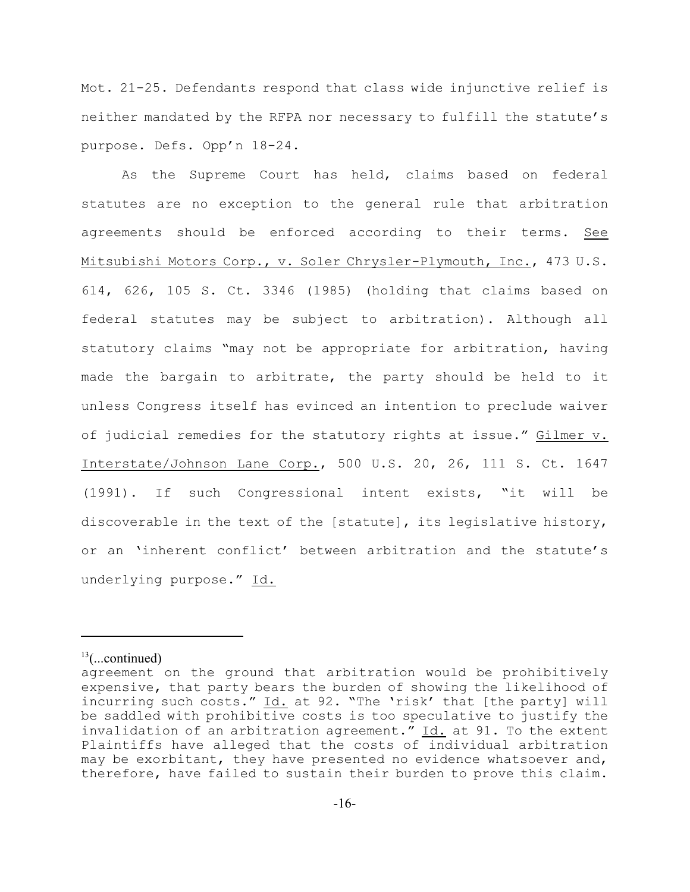Mot. 21-25. Defendants respond that class wide injunctive relief is neither mandated by the RFPA nor necessary to fulfill the statute's purpose. Defs. Opp'n 18-24.

As the Supreme Court has held, claims based on federal statutes are no exception to the general rule that arbitration agreements should be enforced according to their terms. See Mitsubishi Motors Corp., v. Soler Chrysler-Plymouth, Inc., 473 U.S. 614, 626, 105 S. Ct. 3346 (1985) (holding that claims based on federal statutes may be subject to arbitration). Although all statutory claims "may not be appropriate for arbitration, having made the bargain to arbitrate, the party should be held to it unless Congress itself has evinced an intention to preclude waiver of judicial remedies for the statutory rights at issue." Gilmer v. Interstate/Johnson Lane Corp., 500 U.S. 20, 26, 111 S. Ct. 1647 (1991). If such Congressional intent exists, "it will be discoverable in the text of the [statute], its legislative history, or an 'inherent conflict' between arbitration and the statute's underlying purpose." Id.

 $^{13}$ (...continued)

agreement on the ground that arbitration would be prohibitively expensive, that party bears the burden of showing the likelihood of incurring such costs." Id. at 92. "The 'risk' that [the party] will be saddled with prohibitive costs is too speculative to justify the invalidation of an arbitration agreement." Id. at 91. To the extent Plaintiffs have alleged that the costs of individual arbitration may be exorbitant, they have presented no evidence whatsoever and, therefore, have failed to sustain their burden to prove this claim.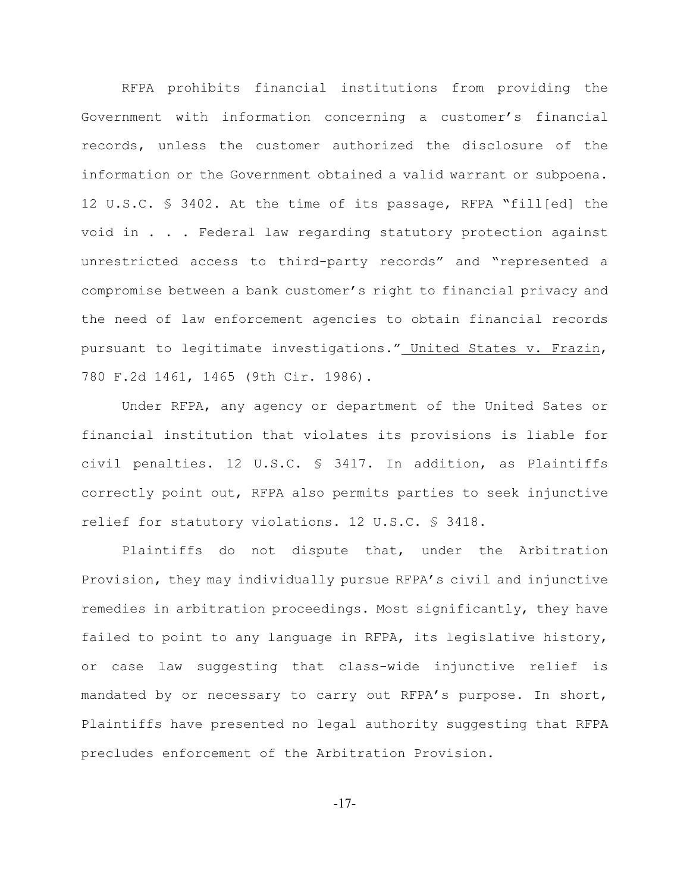RFPA prohibits financial institutions from providing the Government with information concerning a customer's financial records, unless the customer authorized the disclosure of the information or the Government obtained a valid warrant or subpoena. 12 U.S.C. § 3402. At the time of its passage, RFPA "fill[ed] the void in . . . Federal law regarding statutory protection against unrestricted access to third-party records" and "represented a compromise between a bank customer's right to financial privacy and the need of law enforcement agencies to obtain financial records pursuant to legitimate investigations." United States v. Frazin, 780 F.2d 1461, 1465 (9th Cir. 1986).

Under RFPA, any agency or department of the United Sates or financial institution that violates its provisions is liable for civil penalties. 12 U.S.C. § 3417. In addition, as Plaintiffs correctly point out, RFPA also permits parties to seek injunctive relief for statutory violations. 12 U.S.C. § 3418.

Plaintiffs do not dispute that, under the Arbitration Provision, they may individually pursue RFPA's civil and injunctive remedies in arbitration proceedings. Most significantly, they have failed to point to any language in RFPA, its legislative history, or case law suggesting that class-wide injunctive relief is mandated by or necessary to carry out RFPA's purpose. In short, Plaintiffs have presented no legal authority suggesting that RFPA precludes enforcement of the Arbitration Provision.

-17-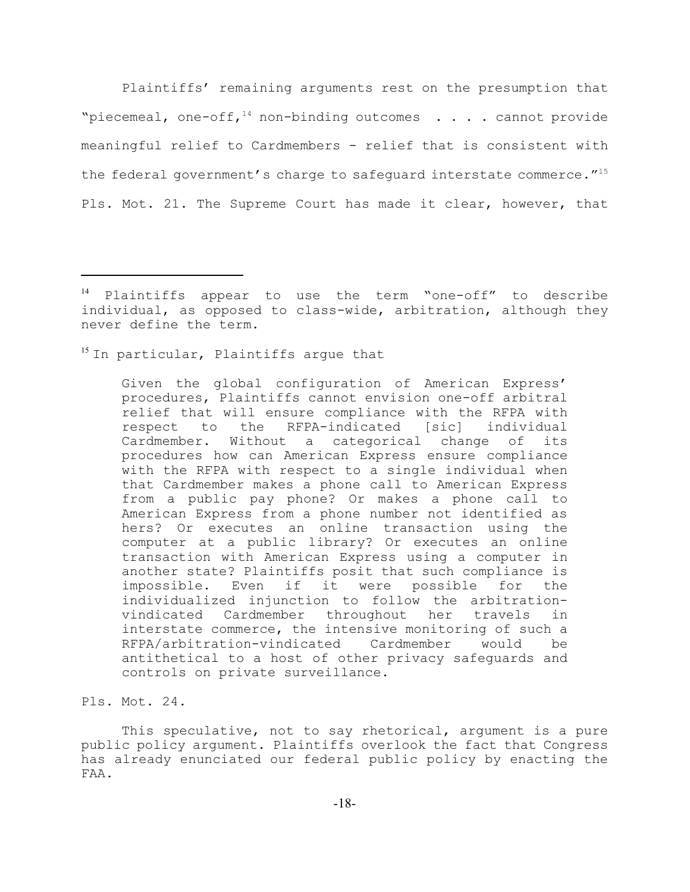Plaintiffs' remaining arguments rest on the presumption that "piecemeal, one-off,<sup>14</sup> non-binding outcomes . . . . cannot provide meaningful relief to Cardmembers - relief that is consistent with the federal government's charge to safeguard interstate commerce."<sup>15</sup> Pls. Mot. 21. The Supreme Court has made it clear, however, that

 $15$  In particular, Plaintiffs argue that

Given the global configuration of American Express' procedures, Plaintiffs cannot envision one-off arbitral relief that will ensure compliance with the RFPA with respect to the RFPA-indicated [sic] individual Cardmember. Without a categorical change of its procedures how can American Express ensure compliance with the RFPA with respect to a single individual when that Cardmember makes a phone call to American Express from a public pay phone? Or makes a phone call to American Express from a phone number not identified as hers? Or executes an online transaction using the computer at a public library? Or executes an online transaction with American Express using a computer in another state? Plaintiffs posit that such compliance is impossible. Even if it were possible for the individualized injunction to follow the arbitrationvindicated Cardmember throughout her travels in interstate commerce, the intensive monitoring of such a RFPA/arbitration-vindicated Cardmember would be antithetical to a host of other privacy safeguards and controls on private surveillance.

This speculative, not to say rhetorical, argument is a pure public policy argument. Plaintiffs overlook the fact that Congress has already enunciated our federal public policy by enacting the FAA.

Plaintiffs appear to use the term "one-off" to describe individual, as opposed to class-wide, arbitration, although they never define the term.

Pls. Mot. 24.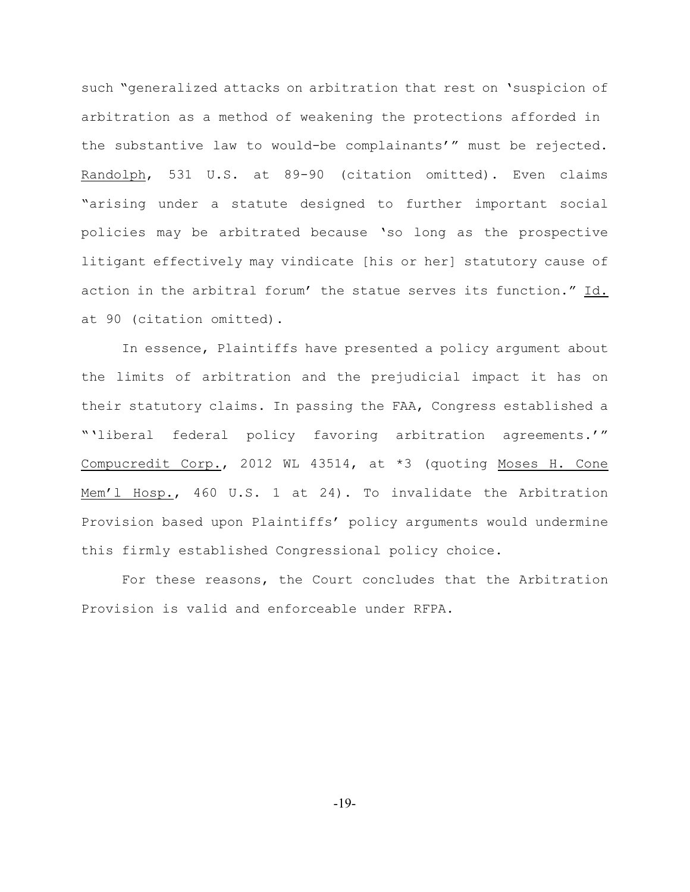such "generalized attacks on arbitration that rest on 'suspicion of arbitration as a method of weakening the protections afforded in the substantive law to would-be complainants'" must be rejected. Randolph, 531 U.S. at 89-90 (citation omitted). Even claims "arising under a statute designed to further important social policies may be arbitrated because 'so long as the prospective litigant effectively may vindicate [his or her] statutory cause of action in the arbitral forum' the statue serves its function." Id. at 90 (citation omitted).

In essence, Plaintiffs have presented a policy argument about the limits of arbitration and the prejudicial impact it has on their statutory claims. In passing the FAA, Congress established a "'liberal federal policy favoring arbitration agreements.'" Compucredit Corp., 2012 WL 43514, at \*3 (quoting Moses H. Cone Mem'l Hosp., 460 U.S. 1 at 24). To invalidate the Arbitration Provision based upon Plaintiffs' policy arguments would undermine this firmly established Congressional policy choice.

For these reasons, the Court concludes that the Arbitration Provision is valid and enforceable under RFPA.

-19-